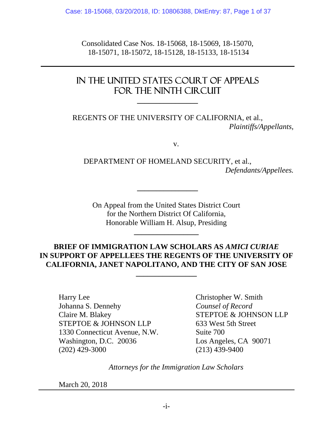Consolidated Case Nos. 18-15068, 18-15069, 18-15070, 18-15071, 18-15072, 18-15128, 18-15133, 18-15134

# IN THE UNITED STATES COURT OF APPEALS FOR THE NINTH CIRCUIT

**\_\_\_\_\_\_\_\_\_\_\_\_\_\_\_\_** 

REGENTS OF THE UNIVERSITY OF CALIFORNIA, et al., *Plaintiffs/Appellants,*

v.

DEPARTMENT OF HOMELAND SECURITY, et al., *Defendants/Appellees.*

On Appeal from the United States District Court for the Northern District Of California, Honorable William H. Alsup, Presiding

**\_\_\_\_\_\_\_\_\_\_\_\_\_\_\_\_\_** 

**\_\_\_\_\_\_\_\_\_\_\_\_\_\_\_\_** 

## **BRIEF OF IMMIGRATION LAW SCHOLARS AS** *AMICI CURIAE* **IN SUPPORT OF APPELLEES THE REGENTS OF THE UNIVERSITY OF CALIFORNIA, JANET NAPOLITANO, AND THE CITY OF SAN JOSE**

**\_\_\_\_\_\_\_\_\_\_\_\_\_\_\_\_** 

Harry Lee Christopher W. Smith Johanna S. Dennehy *Counsel of Record*  Claire M. Blakey STEPTOE & JOHNSON LLP STEPTOE & JOHNSON LLP 633 West 5th Street 1330 Connecticut Avenue, N.W. Suite 700 Washington, D.C. 20036 Los Angeles, CA 90071 (202) 429-3000 (213) 439-9400

*Attorneys for the Immigration Law Scholars* 

March 20, 2018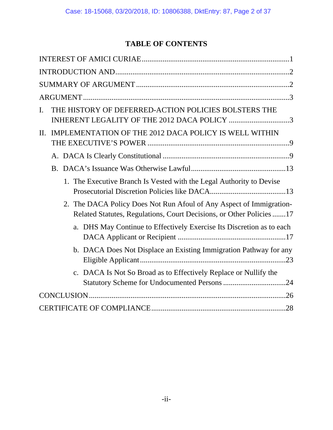# **TABLE OF CONTENTS**

| THE HISTORY OF DEFERRED-ACTION POLICIES BOLSTERS THE<br>I.                                                                                  |
|---------------------------------------------------------------------------------------------------------------------------------------------|
| INHERENT LEGALITY OF THE 2012 DACA POLICY 3                                                                                                 |
| IMPLEMENTATION OF THE 2012 DACA POLICY IS WELL WITHIN<br>П.                                                                                 |
|                                                                                                                                             |
|                                                                                                                                             |
|                                                                                                                                             |
| 1. The Executive Branch Is Vested with the Legal Authority to Devise                                                                        |
| 2. The DACA Policy Does Not Run Afoul of Any Aspect of Immigration-<br>Related Statutes, Regulations, Court Decisions, or Other Policies 17 |
| a. DHS May Continue to Effectively Exercise Its Discretion as to each                                                                       |
| b. DACA Does Not Displace an Existing Immigration Pathway for any                                                                           |
| c. DACA Is Not So Broad as to Effectively Replace or Nullify the                                                                            |
|                                                                                                                                             |
|                                                                                                                                             |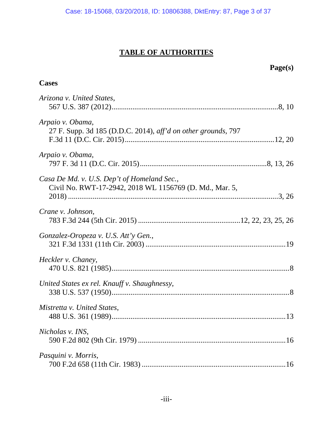# **TABLE OF AUTHORITIES**

## **Page(s)**

## **Cases**

| Arizona v. United States,                                                                              |
|--------------------------------------------------------------------------------------------------------|
| Arpaio v. Obama,<br>27 F. Supp. 3d 185 (D.D.C. 2014), aff'd on other grounds, 797                      |
| Arpaio v. Obama,                                                                                       |
| Casa De Md. v. U.S. Dep't of Homeland Sec.,<br>Civil No. RWT-17-2942, 2018 WL 1156769 (D. Md., Mar. 5, |
| Crane v. Johnson,                                                                                      |
| Gonzalez-Oropeza v. U.S. Att'y Gen.,                                                                   |
| Heckler v. Chaney,                                                                                     |
| United States ex rel. Knauff v. Shaughnessy,                                                           |
| Mistretta v. United States,                                                                            |
| Nicholas v. INS,                                                                                       |
| Pasquini v. Morris,                                                                                    |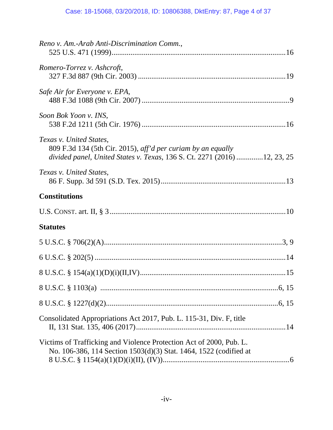| Reno v. Am.-Arab Anti-Discrimination Comm.,                                                                                                                         |
|---------------------------------------------------------------------------------------------------------------------------------------------------------------------|
| Romero-Torrez v. Ashcroft,                                                                                                                                          |
| Safe Air for Everyone v. EPA,                                                                                                                                       |
| Soon Bok Yoon v. INS,                                                                                                                                               |
| Texas v. United States,<br>809 F.3d 134 (5th Cir. 2015), aff'd per curiam by an equally<br>divided panel, United States v. Texas, 136 S. Ct. 2271 (2016) 12, 23, 25 |
| Texas v. United States,                                                                                                                                             |
| <b>Constitutions</b>                                                                                                                                                |
|                                                                                                                                                                     |
| <b>Statutes</b>                                                                                                                                                     |
|                                                                                                                                                                     |
|                                                                                                                                                                     |
|                                                                                                                                                                     |
|                                                                                                                                                                     |
|                                                                                                                                                                     |
| Consolidated Appropriations Act 2017, Pub. L. 115-31, Div. F, title                                                                                                 |
| Victims of Trafficking and Violence Protection Act of 2000, Pub. L.<br>No. 106-386, 114 Section 1503(d)(3) Stat. 1464, 1522 (codified at                            |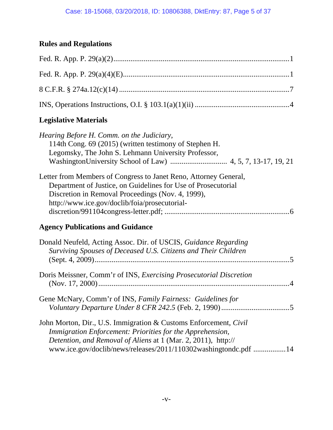## **Rules and Regulations**

## **Legislative Materials**

| Hearing Before H. Comm. on the Judiciary,<br>114th Cong. 69 (2015) (written testimony of Stephen H.<br>Legomsky, The John S. Lehmann University Professor,                                                                                                        |
|-------------------------------------------------------------------------------------------------------------------------------------------------------------------------------------------------------------------------------------------------------------------|
| Letter from Members of Congress to Janet Reno, Attorney General,<br>Department of Justice, on Guidelines for Use of Prosecutorial<br>Discretion in Removal Proceedings (Nov. 4, 1999),<br>http://www.ice.gov/doclib/foia/prosecutorial-                           |
| <b>Agency Publications and Guidance</b>                                                                                                                                                                                                                           |
| Donald Neufeld, Acting Assoc. Dir. of USCIS, Guidance Regarding<br>Surviving Spouses of Deceased U.S. Citizens and Their Children                                                                                                                                 |
| Doris Meissner, Comm'r of INS, Exercising Prosecutorial Discretion                                                                                                                                                                                                |
| Gene McNary, Comm'r of INS, Family Fairness: Guidelines for                                                                                                                                                                                                       |
| John Morton, Dir., U.S. Immigration & Customs Enforcement, Civil<br>Immigration Enforcement: Priorities for the Apprehension,<br>Detention, and Removal of Aliens at 1 (Mar. 2, 2011), http://<br>www.ice.gov/doclib/news/releases/2011/110302washingtondc.pdf 14 |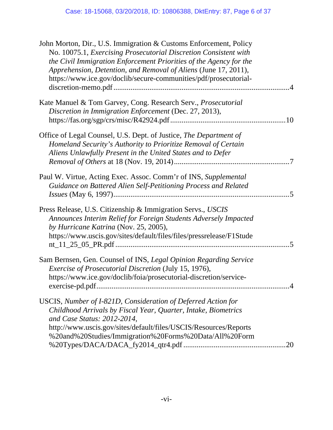| John Morton, Dir., U.S. Immigration & Customs Enforcement, Policy<br>No. 10075.1, Exercising Prosecutorial Discretion Consistent with<br>the Civil Immigration Enforcement Priorities of the Agency for the<br>Apprehension, Detention, and Removal of Aliens (June 17, 2011),<br>https://www.ice.gov/doclib/secure-communities/pdf/prosecutorial- |            |
|----------------------------------------------------------------------------------------------------------------------------------------------------------------------------------------------------------------------------------------------------------------------------------------------------------------------------------------------------|------------|
| Kate Manuel & Tom Garvey, Cong. Research Serv., <i>Prosecutorial</i><br>Discretion in Immigration Enforcement (Dec. 27, 2013),                                                                                                                                                                                                                     |            |
| Office of Legal Counsel, U.S. Dept. of Justice, The Department of<br>Homeland Security's Authority to Prioritize Removal of Certain<br>Aliens Unlawfully Present in the United States and to Defer                                                                                                                                                 | $\cdot$ .7 |
| Paul W. Virtue, Acting Exec. Assoc. Comm'r of INS, Supplemental<br>Guidance on Battered Alien Self-Petitioning Process and Related                                                                                                                                                                                                                 | .5         |
| Press Release, U.S. Citizenship & Immigration Servs., USCIS<br>Announces Interim Relief for Foreign Students Adversely Impacted<br>by Hurricane Katrina (Nov. 25, 2005),<br>https://www.uscis.gov/sites/default/files/files/pressrelease/F1Stude                                                                                                   | .5         |
| Sam Bernsen, Gen. Counsel of INS, Legal Opinion Regarding Service<br>Exercise of Prosecutorial Discretion (July 15, 1976),<br>https://www.ice.gov/doclib/foia/prosecutorial-discretion/service-                                                                                                                                                    |            |
| USCIS, Number of I-821D, Consideration of Deferred Action for<br>Childhood Arrivals by Fiscal Year, Quarter, Intake, Biometrics<br>and Case Status: 2012-2014,<br>http://www.uscis.gov/sites/default/files/USCIS/Resources/Reports<br>%20and%20Studies/Immigration%20Forms%20Data/All%20Form                                                       |            |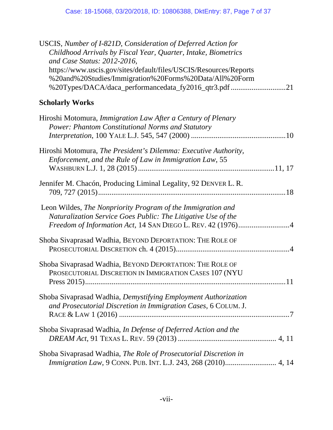| USCIS, Number of I-821D, Consideration of Deferred Action for<br>Childhood Arrivals by Fiscal Year, Quarter, Intake, Biometrics<br>and Case Status: 2012-2016,<br>https://www.uscis.gov/sites/default/files/USCIS/Resources/Reports<br>%20and%20Studies/Immigration%20Forms%20Data/All%20Form<br>%20Types/DACA/daca_performancedata_fy2016_qtr3.pdf 21 |
|--------------------------------------------------------------------------------------------------------------------------------------------------------------------------------------------------------------------------------------------------------------------------------------------------------------------------------------------------------|
| <b>Scholarly Works</b>                                                                                                                                                                                                                                                                                                                                 |
| Hiroshi Motomura, <i>Immigration Law After a Century of Plenary</i><br>Power: Phantom Constitutional Norms and Statutory                                                                                                                                                                                                                               |
| Hiroshi Motomura, The President's Dilemma: Executive Authority,<br>Enforcement, and the Rule of Law in Immigration Law, 55                                                                                                                                                                                                                             |
| Jennifer M. Chacón, Producing Liminal Legality, 92 DENVER L. R.                                                                                                                                                                                                                                                                                        |
| Leon Wildes, The Nonpriority Program of the Immigration and<br>Naturalization Service Goes Public: The Litigative Use of the                                                                                                                                                                                                                           |
| Shoba Sivaprasad Wadhia, BEYOND DEPORTATION: THE ROLE OF                                                                                                                                                                                                                                                                                               |
| Shoba Sivaprasad Wadhia, BEYOND DEPORTATION: THE ROLE OF<br>PROSECUTORIAL DISCRETION IN IMMIGRATION CASES 107 (NYU                                                                                                                                                                                                                                     |
| Shoba Sivaprasad Wadhia, Demystifying Employment Authorization<br>and Prosecutorial Discretion in Immigration Cases, 6 COLUM. J.                                                                                                                                                                                                                       |
| Shoba Sivaprasad Wadhia, In Defense of Deferred Action and the                                                                                                                                                                                                                                                                                         |
| Shoba Sivaprasad Wadhia, The Role of Prosecutorial Discretion in<br>Immigration Law, 9 CONN. PUB. INT. L.J. 243, 268 (2010) 4, 14                                                                                                                                                                                                                      |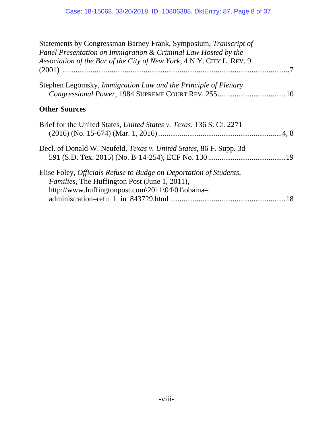| Statements by Congressman Barney Frank, Symposium, Transcript of<br>Panel Presentation on Immigration & Criminal Law Hosted by the<br>Association of the Bar of the City of New York, 4 N.Y. CITY L. REV. 9 |  |
|-------------------------------------------------------------------------------------------------------------------------------------------------------------------------------------------------------------|--|
| Stephen Legomsky, Immigration Law and the Principle of Plenary                                                                                                                                              |  |
| <b>Other Sources</b>                                                                                                                                                                                        |  |
| Brief for the United States, United States v. Texas, 136 S. Ct. 2271                                                                                                                                        |  |
| Decl. of Donald W. Neufeld, <i>Texas v. United States</i> , 86 F. Supp. 3d                                                                                                                                  |  |
| Elise Foley, Officials Refuse to Budge on Deportation of Students,<br>Families, The Huffington Post (June 1, 2011),<br>http://www.huffingtonpost.com\2011\04\01\obama-                                      |  |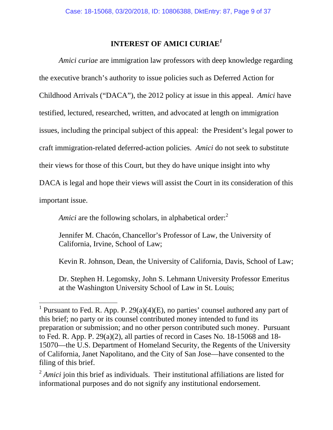## **INTEREST OF AMICI CURIAE***<sup>1</sup>*

*Amici curiae* are immigration law professors with deep knowledge regarding the executive branch's authority to issue policies such as Deferred Action for Childhood Arrivals ("DACA"), the 2012 policy at issue in this appeal. *Amici* have testified, lectured, researched, written, and advocated at length on immigration issues, including the principal subject of this appeal: the President's legal power to craft immigration-related deferred-action policies. *Amici* do not seek to substitute their views for those of this Court, but they do have unique insight into why DACA is legal and hope their views will assist the Court in its consideration of this important issue.

*Amici* are the following scholars, in alphabetical order:<sup>2</sup>

Jennifer M. Chacón, Chancellor's Professor of Law, the University of California, Irvine, School of Law;

Kevin R. Johnson, Dean, the University of California, Davis, School of Law;

Dr. Stephen H. Legomsky, John S. Lehmann University Professor Emeritus at the Washington University School of Law in St. Louis;

<sup>&</sup>lt;sup>1</sup> Pursuant to Fed. R. App. P.  $29(a)(4)(E)$ , no parties' counsel authored any part of this brief; no party or its counsel contributed money intended to fund its preparation or submission; and no other person contributed such money. Pursuant to Fed. R. App. P. 29(a)(2), all parties of record in Cases No. 18-15068 and 18- 15070—the U.S. Department of Homeland Security, the Regents of the University of California, Janet Napolitano, and the City of San Jose—have consented to the filing of this brief.

<sup>&</sup>lt;sup>2</sup> *Amici* join this brief as individuals. Their institutional affiliations are listed for informational purposes and do not signify any institutional endorsement.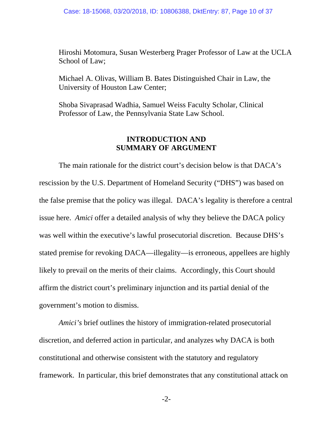Hiroshi Motomura, Susan Westerberg Prager Professor of Law at the UCLA School of Law;

Michael A. Olivas, William B. Bates Distinguished Chair in Law, the University of Houston Law Center;

Shoba Sivaprasad Wadhia, Samuel Weiss Faculty Scholar, Clinical Professor of Law, the Pennsylvania State Law School.

### **INTRODUCTION AND SUMMARY OF ARGUMENT**

 The main rationale for the district court's decision below is that DACA's rescission by the U.S. Department of Homeland Security ("DHS") was based on the false premise that the policy was illegal. DACA's legality is therefore a central issue here. *Amici* offer a detailed analysis of why they believe the DACA policy was well within the executive's lawful prosecutorial discretion. Because DHS's stated premise for revoking DACA—illegality—is erroneous, appellees are highly likely to prevail on the merits of their claims. Accordingly, this Court should affirm the district court's preliminary injunction and its partial denial of the government's motion to dismiss.

*Amici's* brief outlines the history of immigration-related prosecutorial discretion, and deferred action in particular, and analyzes why DACA is both constitutional and otherwise consistent with the statutory and regulatory framework. In particular, this brief demonstrates that any constitutional attack on

-2-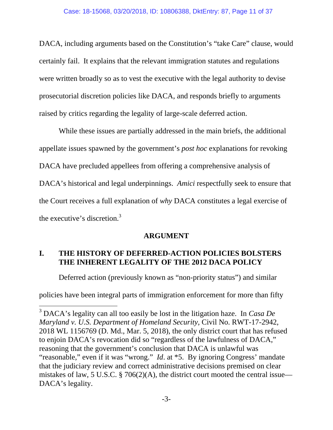DACA, including arguments based on the Constitution's "take Care" clause, would certainly fail. It explains that the relevant immigration statutes and regulations were written broadly so as to vest the executive with the legal authority to devise prosecutorial discretion policies like DACA, and responds briefly to arguments raised by critics regarding the legality of large-scale deferred action.

While these issues are partially addressed in the main briefs, the additional appellate issues spawned by the government's *post hoc* explanations for revoking DACA have precluded appellees from offering a comprehensive analysis of DACA's historical and legal underpinnings. *Amici* respectfully seek to ensure that the Court receives a full explanation of *why* DACA constitutes a legal exercise of the executive's discretion.<sup>3</sup>

### **ARGUMENT**

## **I. THE HISTORY OF DEFERRED-ACTION POLICIES BOLSTERS THE INHERENT LEGALITY OF THE 2012 DACA POLICY**

Deferred action (previously known as "non-priority status") and similar

policies have been integral parts of immigration enforcement for more than fifty

<sup>3</sup> DACA's legality can all too easily be lost in the litigation haze. In *Casa De Maryland v. U.S. Department of Homeland Security*, Civil No. RWT-17-2942, 2018 WL 1156769 (D. Md., Mar. 5, 2018), the only district court that has refused to enjoin DACA's revocation did so "regardless of the lawfulness of DACA," reasoning that the government's conclusion that DACA is unlawful was "reasonable," even if it was "wrong." *Id*. at \*5. By ignoring Congress' mandate that the judiciary review and correct administrative decisions premised on clear mistakes of law, 5 U.S.C. § 706(2)(A), the district court mooted the central issue— DACA's legality.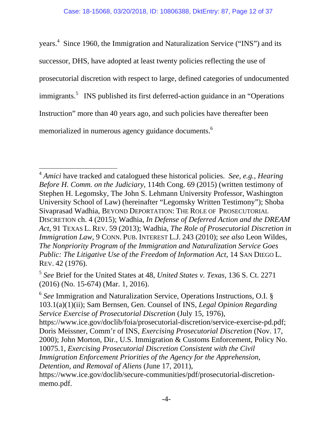years.<sup>4</sup> Since 1960, the Immigration and Naturalization Service ("INS") and its successor, DHS, have adopted at least twenty policies reflecting the use of prosecutorial discretion with respect to large, defined categories of undocumented immigrants.<sup>5</sup> INS published its first deferred-action guidance in an "Operations" Instruction" more than 40 years ago, and such policies have thereafter been memorialized in numerous agency guidance documents.<sup>6</sup>

<sup>4</sup> *Amici* have tracked and catalogued these historical policies. *See, e.g.*, *Hearing Before H. Comm. on the Judiciary*, 114th Cong. 69 (2015) (written testimony of Stephen H. Legomsky, The John S. Lehmann University Professor, Washington University School of Law) (hereinafter "Legomsky Written Testimony"); Shoba Sivaprasad Wadhia, BEYOND DEPORTATION: THE ROLE OF PROSECUTORIAL DISCRETION ch. 4 (2015); Wadhia, *In Defense of Deferred Action and the DREAM Act*, 91 TEXAS L. REV. 59 (2013); Wadhia, *The Role of Prosecutorial Discretion in Immigration Law*, 9 CONN. PUB. INTEREST L.J. 243 (2010); *see also* Leon Wildes, *The Nonpriority Program of the Immigration and Naturalization Service Goes Public: The Litigative Use of the Freedom of Information Act*, 14 SAN DIEGO L. REV. 42 (1976).

<sup>5</sup> *See* Brief for the United States at 48, *United States v. Texas*, 136 S. Ct. 2271 (2016) (No. 15-674) (Mar. 1, 2016).

<sup>6</sup> *See* Immigration and Naturalization Service, Operations Instructions, O.I. § 103.1(a)(1)(ii); Sam Bernsen, Gen. Counsel of INS, *Legal Opinion Regarding Service Exercise of Prosecutorial Discretion* (July 15, 1976),

https://www.ice.gov/doclib/foia/prosecutorial-discretion/service-exercise-pd.pdf; Doris Meissner, Comm'r of INS, *Exercising Prosecutorial Discretion* (Nov. 17, 2000); John Morton, Dir., U.S. Immigration & Customs Enforcement, Policy No. 10075.1, *Exercising Prosecutorial Discretion Consistent with the Civil Immigration Enforcement Priorities of the Agency for the Apprehension, Detention, and Removal of Aliens* (June 17, 2011),

https://www.ice.gov/doclib/secure-communities/pdf/prosecutorial-discretionmemo.pdf.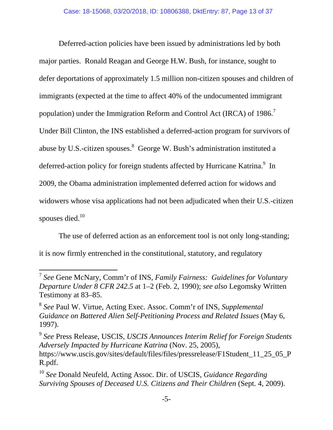Deferred-action policies have been issued by administrations led by both major parties. Ronald Reagan and George H.W. Bush, for instance, sought to defer deportations of approximately 1.5 million non-citizen spouses and children of immigrants (expected at the time to affect 40% of the undocumented immigrant population) under the Immigration Reform and Control Act (IRCA) of 1986.<sup>7</sup> Under Bill Clinton, the INS established a deferred-action program for survivors of abuse by U.S.-citizen spouses. <sup>8</sup> George W. Bush's administration instituted a deferred-action policy for foreign students affected by Hurricane Katrina.<sup>9</sup> In 2009, the Obama administration implemented deferred action for widows and widowers whose visa applications had not been adjudicated when their U.S.-citizen spouses died. $10$ 

The use of deferred action as an enforcement tool is not only long-standing; it is now firmly entrenched in the constitutional, statutory, and regulatory

<sup>7</sup> *See* Gene McNary, Comm'r of INS, *Family Fairness: Guidelines for Voluntary Departure Under 8 CFR 242.5* at 1–2 (Feb. 2, 1990); *see also* Legomsky Written Testimony at 83–85.

<sup>8</sup> *See* Paul W. Virtue, Acting Exec. Assoc. Comm'r of INS, *Supplemental Guidance on Battered Alien Self-Petitioning Process and Related Issues* (May 6, 1997).

<sup>9</sup> *See* Press Release, USCIS, *USCIS Announces Interim Relief for Foreign Students Adversely Impacted by Hurricane Katrina* (Nov. 25, 2005), https://www.uscis.gov/sites/default/files/files/pressrelease/F1Student\_11\_25\_05\_P R.pdf.

<sup>10</sup> *See* Donald Neufeld, Acting Assoc. Dir. of USCIS, *Guidance Regarding Surviving Spouses of Deceased U.S. Citizens and Their Children* (Sept. 4, 2009).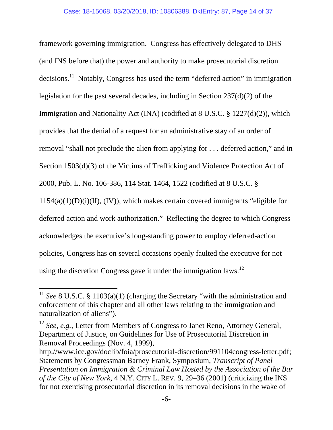framework governing immigration. Congress has effectively delegated to DHS (and INS before that) the power and authority to make prosecutorial discretion decisions.<sup>11</sup> Notably, Congress has used the term "deferred action" in immigration legislation for the past several decades, including in Section 237(d)(2) of the Immigration and Nationality Act (INA) (codified at 8 U.S.C. § 1227(d)(2)), which provides that the denial of a request for an administrative stay of an order of removal "shall not preclude the alien from applying for . . . deferred action," and in Section 1503(d)(3) of the Victims of Trafficking and Violence Protection Act of 2000, Pub. L. No. 106-386, 114 Stat. 1464, 1522 (codified at 8 U.S.C. §  $1154(a)(1)(D)(i)(II)$ , (IV)), which makes certain covered immigrants "eligible for deferred action and work authorization." Reflecting the degree to which Congress acknowledges the executive's long-standing power to employ deferred-action policies, Congress has on several occasions openly faulted the executive for not using the discretion Congress gave it under the immigration laws.<sup>12</sup>

<sup>&</sup>lt;sup>11</sup> See 8 U.S.C. § 1103(a)(1) (charging the Secretary "with the administration and enforcement of this chapter and all other laws relating to the immigration and naturalization of aliens").

<sup>&</sup>lt;sup>12</sup> *See, e.g.*, Letter from Members of Congress to Janet Reno, Attorney General, Department of Justice, on Guidelines for Use of Prosecutorial Discretion in Removal Proceedings (Nov. 4, 1999),

http://www.ice.gov/doclib/foia/prosecutorial-discretion/991104congress-letter.pdf; Statements by Congressman Barney Frank, Symposium, *Transcript of Panel Presentation on Immigration & Criminal Law Hosted by the Association of the Bar of the City of New York*, 4 N.Y. CITY L. REV. 9, 29–36 (2001) (criticizing the INS for not exercising prosecutorial discretion in its removal decisions in the wake of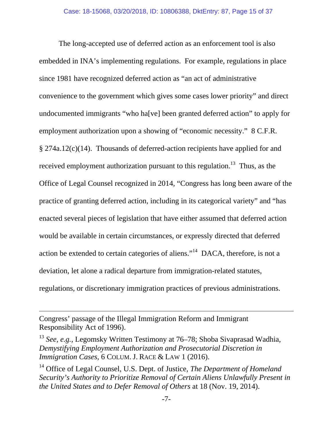The long-accepted use of deferred action as an enforcement tool is also embedded in INA's implementing regulations. For example, regulations in place since 1981 have recognized deferred action as "an act of administrative convenience to the government which gives some cases lower priority" and direct undocumented immigrants "who ha[ve] been granted deferred action" to apply for employment authorization upon a showing of "economic necessity." 8 C.F.R. § 274a.12(c)(14). Thousands of deferred-action recipients have applied for and received employment authorization pursuant to this regulation.<sup>13</sup> Thus, as the Office of Legal Counsel recognized in 2014, "Congress has long been aware of the practice of granting deferred action, including in its categorical variety" and "has enacted several pieces of legislation that have either assumed that deferred action would be available in certain circumstances, or expressly directed that deferred action be extended to certain categories of aliens."14 DACA, therefore, is not a deviation, let alone a radical departure from immigration-related statutes, regulations, or discretionary immigration practices of previous administrations.

Congress' passage of the Illegal Immigration Reform and Immigrant Responsibility Act of 1996).

<sup>13</sup> *See, e.g.*, Legomsky Written Testimony at 76–78; Shoba Sivaprasad Wadhia, *Demystifying Employment Authorization and Prosecutorial Discretion in Immigration Cases*, 6 COLUM. J. RACE & LAW 1 (2016).

<u> 1989 - Johann Stoff, amerikansk politiker (d. 1989)</u>

14 Office of Legal Counsel, U.S. Dept. of Justice, *The Department of Homeland Security's Authority to Prioritize Removal of Certain Aliens Unlawfully Present in the United States and to Defer Removal of Others* at 18 (Nov. 19, 2014).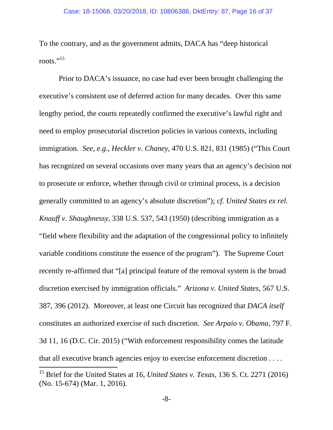To the contrary, and as the government admits, DACA has "deep historical roots."<sup>15</sup>

Prior to DACA's issuance, no case had ever been brought challenging the executive's consistent use of deferred action for many decades. Over this same lengthy period, the courts repeatedly confirmed the executive's lawful right and need to employ prosecutorial discretion policies in various contexts, including immigration. *See, e.g*., *Heckler v. Chaney*, 470 U.S. 821, 831 (1985) ("This Court has recognized on several occasions over many years that an agency's decision not to prosecute or enforce, whether through civil or criminal process, is a decision generally committed to an agency's absolute discretion"); *cf. United States ex rel. Knauff v. Shaughnessy*, 338 U.S. 537, 543 (1950) (describing immigration as a "field where flexibility and the adaptation of the congressional policy to infinitely variable conditions constitute the essence of the program"). The Supreme Court recently re-affirmed that "[a] principal feature of the removal system is the broad discretion exercised by immigration officials." *Arizona v. United States*, 567 U.S. 387, 396 (2012). Moreover, at least one Circuit has recognized that *DACA itself* constitutes an authorized exercise of such discretion. *See Arpaio v. Obama*, 797 F. 3d 11, 16 (D.C. Cir. 2015) ("With enforcement responsibility comes the latitude that all executive branch agencies enjoy to exercise enforcement discretion . . . .

<sup>15</sup> Brief for the United States at 16, *United States v. Texas*, 136 S. Ct. 2271 (2016) (No. 15-674) (Mar. 1, 2016).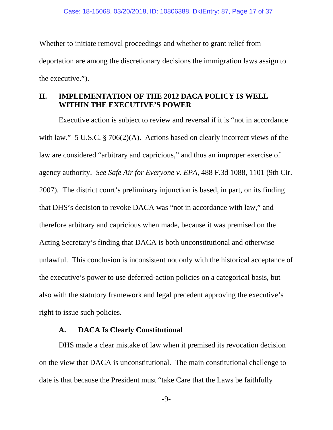Whether to initiate removal proceedings and whether to grant relief from deportation are among the discretionary decisions the immigration laws assign to the executive.").

### **II. IMPLEMENTATION OF THE 2012 DACA POLICY IS WELL WITHIN THE EXECUTIVE'S POWER**

Executive action is subject to review and reversal if it is "not in accordance with law." 5 U.S.C. § 706(2)(A). Actions based on clearly incorrect views of the law are considered "arbitrary and capricious," and thus an improper exercise of agency authority. *See Safe Air for Everyone v. EPA*, 488 F.3d 1088, 1101 (9th Cir. 2007). The district court's preliminary injunction is based, in part, on its finding that DHS's decision to revoke DACA was "not in accordance with law," and therefore arbitrary and capricious when made, because it was premised on the Acting Secretary's finding that DACA is both unconstitutional and otherwise unlawful. This conclusion is inconsistent not only with the historical acceptance of the executive's power to use deferred-action policies on a categorical basis, but also with the statutory framework and legal precedent approving the executive's right to issue such policies.

### **A. DACA Is Clearly Constitutional**

DHS made a clear mistake of law when it premised its revocation decision on the view that DACA is unconstitutional. The main constitutional challenge to date is that because the President must "take Care that the Laws be faithfully

-9-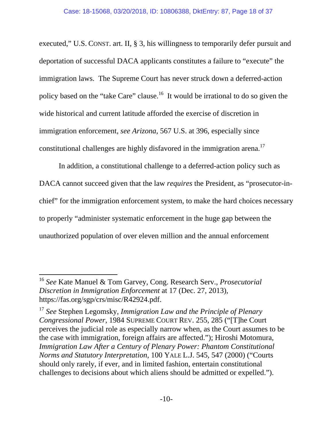executed," U.S. CONST. art. II, § 3, his willingness to temporarily defer pursuit and deportation of successful DACA applicants constitutes a failure to "execute" the immigration laws. The Supreme Court has never struck down a deferred-action policy based on the "take Care" clause.16 It would be irrational to do so given the wide historical and current latitude afforded the exercise of discretion in immigration enforcement, *see Arizona*, 567 U.S. at 396, especially since constitutional challenges are highly disfavored in the immigration arena.<sup>17</sup>

In addition, a constitutional challenge to a deferred-action policy such as DACA cannot succeed given that the law *requires* the President, as "prosecutor-inchief" for the immigration enforcement system, to make the hard choices necessary to properly "administer systematic enforcement in the huge gap between the unauthorized population of over eleven million and the annual enforcement

<sup>16</sup> *See* Kate Manuel & Tom Garvey, Cong. Research Serv., *Prosecutorial Discretion in Immigration Enforcement* at 17 (Dec. 27, 2013), https://fas.org/sgp/crs/misc/R42924.pdf.

<sup>17</sup> *See* Stephen Legomsky, *Immigration Law and the Principle of Plenary Congressional Power*, 1984 SUPREME COURT REV. 255, 285 ("[T]he Court perceives the judicial role as especially narrow when, as the Court assumes to be the case with immigration, foreign affairs are affected."); Hiroshi Motomura, *Immigration Law After a Century of Plenary Power: Phantom Constitutional Norms and Statutory Interpretation*, 100 YALE L.J. 545, 547 (2000) ("Courts should only rarely, if ever, and in limited fashion, entertain constitutional challenges to decisions about which aliens should be admitted or expelled.").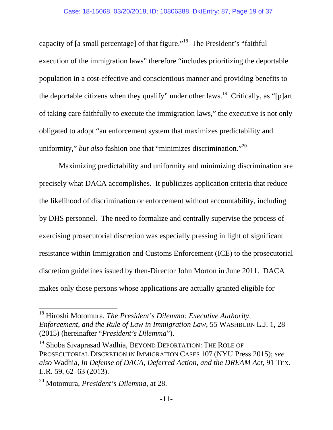capacity of [a small percentage] of that figure."18 The President's "faithful execution of the immigration laws" therefore "includes prioritizing the deportable population in a cost-effective and conscientious manner and providing benefits to the deportable citizens when they qualify" under other laws.<sup>19</sup> Critically, as "[p]art of taking care faithfully to execute the immigration laws," the executive is not only obligated to adopt "an enforcement system that maximizes predictability and uniformity," *but also* fashion one that "minimizes discrimination."<sup>20</sup>

Maximizing predictability and uniformity and minimizing discrimination are precisely what DACA accomplishes. It publicizes application criteria that reduce the likelihood of discrimination or enforcement without accountability, including by DHS personnel. The need to formalize and centrally supervise the process of exercising prosecutorial discretion was especially pressing in light of significant resistance within Immigration and Customs Enforcement (ICE) to the prosecutorial discretion guidelines issued by then-Director John Morton in June 2011. DACA makes only those persons whose applications are actually granted eligible for

<sup>18</sup> Hiroshi Motomura, *The President's Dilemma: Executive Authority, Enforcement, and the Rule of Law in Immigration Law*, 55 WASHBURN L.J. 1, 28 (2015) (hereinafter "*President's Dilemma*").

<sup>&</sup>lt;sup>19</sup> Shoba Sivaprasad Wadhia, BEYOND DEPORTATION: THE ROLE OF PROSECUTORIAL DISCRETION IN IMMIGRATION CASES 107 (NYU Press 2015); *see also* Wadhia, *In Defense of DACA, Deferred Action, and the DREAM Act*, 91 TEX. L.R. 59, 62–63 (2013).

<sup>20</sup> Motomura, *President's Dilemma*, at 28.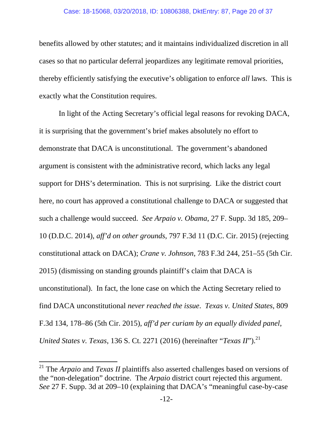#### Case: 18-15068, 03/20/2018, ID: 10806388, DktEntry: 87, Page 20 of 37

benefits allowed by other statutes; and it maintains individualized discretion in all cases so that no particular deferral jeopardizes any legitimate removal priorities, thereby efficiently satisfying the executive's obligation to enforce *all* laws. This is exactly what the Constitution requires.

In light of the Acting Secretary's official legal reasons for revoking DACA, it is surprising that the government's brief makes absolutely no effort to demonstrate that DACA is unconstitutional. The government's abandoned argument is consistent with the administrative record, which lacks any legal support for DHS's determination. This is not surprising. Like the district court here, no court has approved a constitutional challenge to DACA or suggested that such a challenge would succeed. *See Arpaio v. Obama*, 27 F. Supp. 3d 185, 209– 10 (D.D.C. 2014), *aff'd on other grounds*, 797 F.3d 11 (D.C. Cir. 2015) (rejecting constitutional attack on DACA); *Crane v. Johnson*, 783 F.3d 244, 251–55 (5th Cir. 2015) (dismissing on standing grounds plaintiff's claim that DACA is unconstitutional). In fact, the lone case on which the Acting Secretary relied to find DACA unconstitutional *never reached the issue*. *Texas v. United States*, 809 F.3d 134, 178–86 (5th Cir. 2015), *aff'd per curiam by an equally divided panel*, *United States v. Texas, 136 S. Ct. 2271 (2016) (hereinafter "<i>Texas II*").<sup>21</sup>

<sup>21</sup> The *Arpaio* and *Texas II* plaintiffs also asserted challenges based on versions of the "non-delegation" doctrine. The *Arpaio* district court rejected this argument. *See* 27 F. Supp. 3d at 209–10 (explaining that DACA's "meaningful case-by-case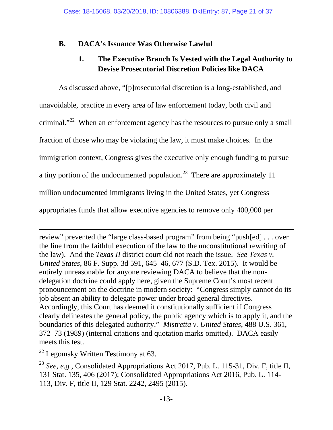## **B. DACA's Issuance Was Otherwise Lawful**

## **1. The Executive Branch Is Vested with the Legal Authority to Devise Prosecutorial Discretion Policies like DACA**

As discussed above, "[p]rosecutorial discretion is a long-established, and unavoidable, practice in every area of law enforcement today, both civil and criminal."<sup>22</sup> When an enforcement agency has the resources to pursue only a small fraction of those who may be violating the law, it must make choices. In the immigration context, Congress gives the executive only enough funding to pursue a tiny portion of the undocumented population.<sup>23</sup> There are approximately 11 million undocumented immigrants living in the United States, yet Congress appropriates funds that allow executive agencies to remove only 400,000 per

review" prevented the "large class-based program" from being "push[ed] . . . over the line from the faithful execution of the law to the unconstitutional rewriting of the law). And the *Texas II* district court did not reach the issue. *See Texas v. United States*, 86 F. Supp. 3d 591, 645–46, 677 (S.D. Tex. 2015). It would be entirely unreasonable for anyone reviewing DACA to believe that the nondelegation doctrine could apply here, given the Supreme Court's most recent pronouncement on the doctrine in modern society: "Congress simply cannot do its job absent an ability to delegate power under broad general directives. Accordingly, this Court has deemed it constitutionally sufficient if Congress clearly delineates the general policy, the public agency which is to apply it, and the boundaries of this delegated authority." *Mistretta v. United States*, 488 U.S. 361, 372–73 (1989) (internal citations and quotation marks omitted). DACA easily meets this test.

<u> 1989 - Johann Stein, marwolaethau a gweledydd a ganlad y ganlad y ganlad y ganlad y ganlad y ganlad y ganlad</u>

 $^{22}$  Legomsky Written Testimony at 63.

<sup>23</sup> *See, e.g.*, Consolidated Appropriations Act 2017, Pub. L. 115-31, Div. F, title II, 131 Stat. 135, 406 (2017); Consolidated Appropriations Act 2016, Pub. L. 114- 113, Div. F, title II, 129 Stat. 2242, 2495 (2015).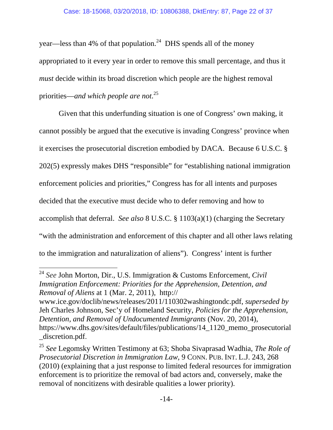year—less than 4% of that population.<sup>24</sup> DHS spends all of the money appropriated to it every year in order to remove this small percentage, and thus it *must* decide within its broad discretion which people are the highest removal priorities—*and which people are not*. 25

Given that this underfunding situation is one of Congress' own making, it cannot possibly be argued that the executive is invading Congress' province when it exercises the prosecutorial discretion embodied by DACA. Because 6 U.S.C. § 202(5) expressly makes DHS "responsible" for "establishing national immigration enforcement policies and priorities," Congress has for all intents and purposes decided that the executive must decide who to defer removing and how to accomplish that deferral. *See also* 8 U.S.C. § 1103(a)(1) (charging the Secretary "with the administration and enforcement of this chapter and all other laws relating to the immigration and naturalization of aliens"). Congress' intent is further

<sup>24</sup> *See* John Morton, Dir., U.S. Immigration & Customs Enforcement, *Civil Immigration Enforcement: Priorities for the Apprehension, Detention, and Removal of Aliens* at 1 (Mar. 2, 2011), http://

www.ice.gov/doclib/news/releases/2011/110302washingtondc.pdf, *superseded by* Jeh Charles Johnson, Sec'y of Homeland Security, *Policies for the Apprehension, Detention, and Removal of Undocumented Immigrants* (Nov. 20, 2014), https://www.dhs.gov/sites/default/files/publications/14\_1120\_memo\_prosecutorial \_discretion.pdf.

<sup>25</sup> *See* Legomsky Written Testimony at 63; Shoba Sivaprasad Wadhia, *The Role of Prosecutorial Discretion in Immigration Law*, 9 CONN. PUB. INT. L.J. 243, 268 (2010) (explaining that a just response to limited federal resources for immigration enforcement is to prioritize the removal of bad actors and, conversely, make the removal of noncitizens with desirable qualities a lower priority).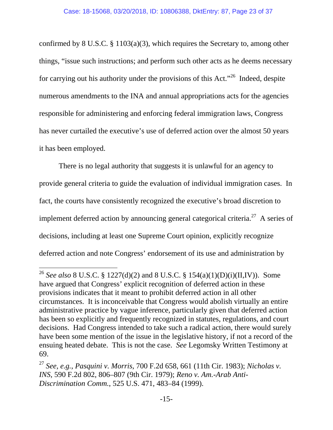confirmed by 8 U.S.C. § 1103(a)(3), which requires the Secretary to, among other things, "issue such instructions; and perform such other acts as he deems necessary for carrying out his authority under the provisions of this Act."26 Indeed, despite numerous amendments to the INA and annual appropriations acts for the agencies responsible for administering and enforcing federal immigration laws, Congress has never curtailed the executive's use of deferred action over the almost 50 years it has been employed.

There is no legal authority that suggests it is unlawful for an agency to provide general criteria to guide the evaluation of individual immigration cases. In fact, the courts have consistently recognized the executive's broad discretion to implement deferred action by announcing general categorical criteria.<sup>27</sup> A series of decisions, including at least one Supreme Court opinion, explicitly recognize deferred action and note Congress' endorsement of its use and administration by

<sup>&</sup>lt;sup>26</sup> *See also* 8 U.S.C. § 1227(d)(2) and 8 U.S.C. § 154(a)(1)(D)(i)(II,IV)). Some have argued that Congress' explicit recognition of deferred action in these provisions indicates that it meant to prohibit deferred action in all other circumstances. It is inconceivable that Congress would abolish virtually an entire administrative practice by vague inference, particularly given that deferred action has been so explicitly and frequently recognized in statutes, regulations, and court decisions. Had Congress intended to take such a radical action, there would surely have been some mention of the issue in the legislative history, if not a record of the ensuing heated debate. This is not the case. *See* Legomsky Written Testimony at 69.

<sup>27</sup> *See, e.g.*, *Pasquini v. Morris*, 700 F.2d 658, 661 (11th Cir. 1983); *Nicholas v. INS*, 590 F.2d 802, 806–807 (9th Cir. 1979); *Reno v. Am.-Arab Anti-Discrimination Comm.*, 525 U.S. 471, 483–84 (1999).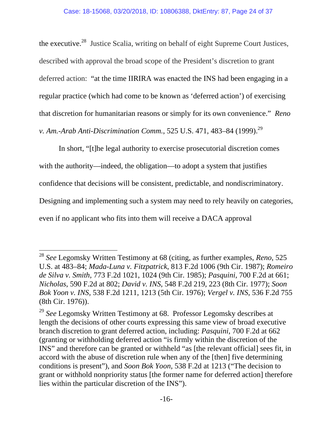the executive.28 Justice Scalia, writing on behalf of eight Supreme Court Justices, described with approval the broad scope of the President's discretion to grant deferred action: "at the time IIRIRA was enacted the INS had been engaging in a regular practice (which had come to be known as 'deferred action') of exercising that discretion for humanitarian reasons or simply for its own convenience." *Reno v. Am.-Arab Anti-Discrimination Comm.*, 525 U.S. 471, 483–84 (1999).<sup>29</sup>

In short, "[t]he legal authority to exercise prosecutorial discretion comes with the authority—indeed, the obligation—to adopt a system that justifies confidence that decisions will be consistent, predictable, and nondiscriminatory. Designing and implementing such a system may need to rely heavily on categories, even if no applicant who fits into them will receive a DACA approval

<sup>28</sup> *See* Legomsky Written Testimony at 68 (citing, as further examples, *Reno*, 525 U.S. at 483–84; *Mada-Luna v. Fitzpatrick*, 813 F.2d 1006 (9th Cir. 1987); *Romeiro de Silva v. Smith*, 773 F.2d 1021, 1024 (9th Cir. 1985); *Pasquini*, 700 F.2d at 661; *Nicholas*, 590 F.2d at 802; *David v. INS*, 548 F.2d 219, 223 (8th Cir. 1977); *Soon Bok Yoon v. INS*, 538 F.2d 1211, 1213 (5th Cir. 1976); *Vergel v. INS*, 536 F.2d 755 (8th Cir. 1976)).

<sup>&</sup>lt;sup>29</sup> See Legomsky Written Testimony at 68. Professor Legomsky describes at length the decisions of other courts expressing this same view of broad executive branch discretion to grant deferred action, including: *Pasquini*, 700 F.2d at 662 (granting or withholding deferred action "is firmly within the discretion of the INS" and therefore can be granted or withheld "as [the relevant official] sees fit, in accord with the abuse of discretion rule when any of the [then] five determining conditions is present"), and *Soon Bok Yoon*, 538 F.2d at 1213 ("The decision to grant or withhold nonpriority status [the former name for deferred action] therefore lies within the particular discretion of the INS").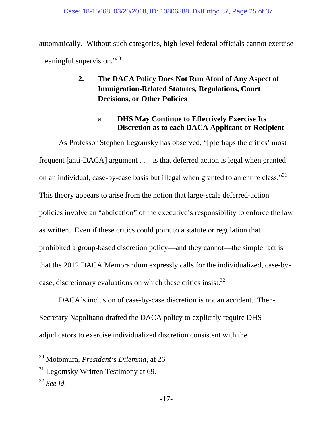automatically. Without such categories, high-level federal officials cannot exercise meaningful supervision."30

## **2. The DACA Policy Does Not Run Afoul of Any Aspect of Immigration-Related Statutes, Regulations, Court Decisions, or Other Policies**

## a. **DHS May Continue to Effectively Exercise Its Discretion as to each DACA Applicant or Recipient**

As Professor Stephen Legomsky has observed, "[p]erhaps the critics' most frequent [anti-DACA] argument . . . is that deferred action is legal when granted on an individual, case-by-case basis but illegal when granted to an entire class."31 This theory appears to arise from the notion that large-scale deferred-action policies involve an "abdication" of the executive's responsibility to enforce the law as written. Even if these critics could point to a statute or regulation that prohibited a group-based discretion policy—and they cannot—the simple fact is that the 2012 DACA Memorandum expressly calls for the individualized, case-bycase, discretionary evaluations on which these critics insist.<sup>32</sup>

DACA's inclusion of case-by-case discretion is not an accident. Then-Secretary Napolitano drafted the DACA policy to explicitly require DHS adjudicators to exercise individualized discretion consistent with the

<sup>30</sup> Motomura, *President's Dilemma*, at 26.

 $31$  Legomsky Written Testimony at 69.

<sup>32</sup> *See id.*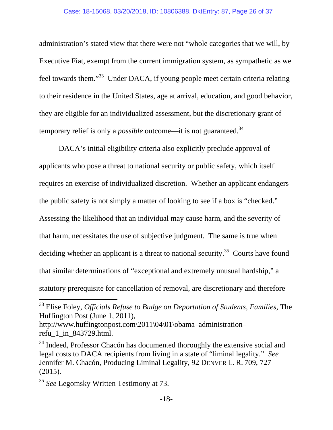administration's stated view that there were not "whole categories that we will, by Executive Fiat, exempt from the current immigration system, as sympathetic as we feel towards them."33 Under DACA, if young people meet certain criteria relating to their residence in the United States, age at arrival, education, and good behavior, they are eligible for an individualized assessment, but the discretionary grant of temporary relief is only a *possible* outcome—it is not guaranteed.<sup>34</sup>

DACA's initial eligibility criteria also explicitly preclude approval of applicants who pose a threat to national security or public safety, which itself requires an exercise of individualized discretion. Whether an applicant endangers the public safety is not simply a matter of looking to see if a box is "checked." Assessing the likelihood that an individual may cause harm, and the severity of that harm, necessitates the use of subjective judgment. The same is true when deciding whether an applicant is a threat to national security.<sup>35</sup> Courts have found that similar determinations of "exceptional and extremely unusual hardship," a statutory prerequisite for cancellation of removal, are discretionary and therefore

<sup>33</sup> Elise Foley, *Officials Refuse to Budge on Deportation of Students, Families*, The Huffington Post (June 1, 2011),

http://www.huffingtonpost.com\2011\04\01\obama–administration– refu\_1\_in\_843729.html.

<sup>&</sup>lt;sup>34</sup> Indeed, Professor Chacón has documented thoroughly the extensive social and legal costs to DACA recipients from living in a state of "liminal legality." *See* Jennifer M. Chacón, Producing Liminal Legality, 92 DENVER L. R. 709, 727 (2015).

<sup>&</sup>lt;sup>35</sup> *See* Legomsky Written Testimony at 73.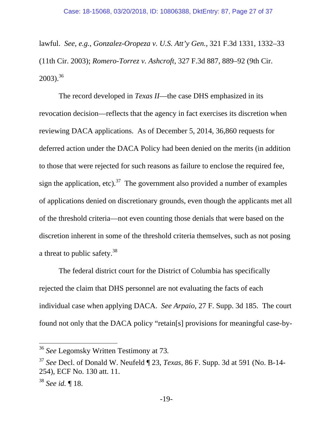lawful. *See, e.g.*, *Gonzalez-Oropeza v. U.S. Att'y Gen.*, 321 F.3d 1331, 1332–33 (11th Cir. 2003); *Romero-Torrez v. Ashcroft*, 327 F.3d 887, 889–92 (9th Cir.  $2003$ .<sup>36</sup>

The record developed in *Texas II*—the case DHS emphasized in its revocation decision—reflects that the agency in fact exercises its discretion when reviewing DACA applications. As of December 5, 2014, 36,860 requests for deferred action under the DACA Policy had been denied on the merits (in addition to those that were rejected for such reasons as failure to enclose the required fee, sign the application, etc).<sup>37</sup> The government also provided a number of examples of applications denied on discretionary grounds, even though the applicants met all of the threshold criteria—not even counting those denials that were based on the discretion inherent in some of the threshold criteria themselves, such as not posing a threat to public safety.<sup>38</sup>

The federal district court for the District of Columbia has specifically rejected the claim that DHS personnel are not evaluating the facts of each individual case when applying DACA. *See Arpaio*, 27 F. Supp. 3d 185. The court found not only that the DACA policy "retain[s] provisions for meaningful case-by-

<sup>36</sup> *See* Legomsky Written Testimony at 73*.*

<sup>37</sup> *See* Decl. of Donald W. Neufeld ¶ 23, *Texas*, 86 F. Supp. 3d at 591 (No. B-14- 254), ECF No. 130 att. 11.

<sup>38</sup> *See id.* ¶ 18.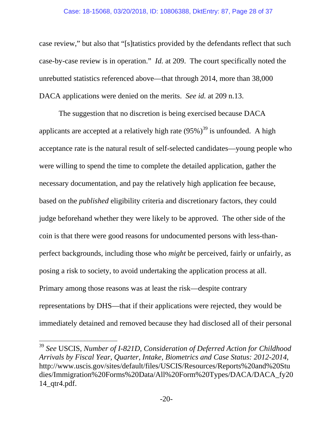#### Case: 18-15068, 03/20/2018, ID: 10806388, DktEntry: 87, Page 28 of 37

case review," but also that "[s]tatistics provided by the defendants reflect that such case-by-case review is in operation." *Id.* at 209. The court specifically noted the unrebutted statistics referenced above—that through 2014, more than 38,000 DACA applications were denied on the merits. *See id.* at 209 n.13.

The suggestion that no discretion is being exercised because DACA applicants are accepted at a relatively high rate  $(95\%)^{39}$  is unfounded. A high acceptance rate is the natural result of self-selected candidates—young people who were willing to spend the time to complete the detailed application, gather the necessary documentation, and pay the relatively high application fee because, based on the *published* eligibility criteria and discretionary factors, they could judge beforehand whether they were likely to be approved. The other side of the coin is that there were good reasons for undocumented persons with less-thanperfect backgrounds, including those who *might* be perceived, fairly or unfairly, as posing a risk to society, to avoid undertaking the application process at all. Primary among those reasons was at least the risk—despite contrary representations by DHS—that if their applications were rejected, they would be immediately detained and removed because they had disclosed all of their personal

<sup>39</sup> *See* USCIS, *Number of I-821D, Consideration of Deferred Action for Childhood Arrivals by Fiscal Year, Quarter, Intake, Biometrics and Case Status: 2012-2014*, http://www.uscis.gov/sites/default/files/USCIS/Resources/Reports%20and%20Stu dies/Immigration%20Forms%20Data/All%20Form%20Types/DACA/DACA\_fy20 14\_qtr4.pdf.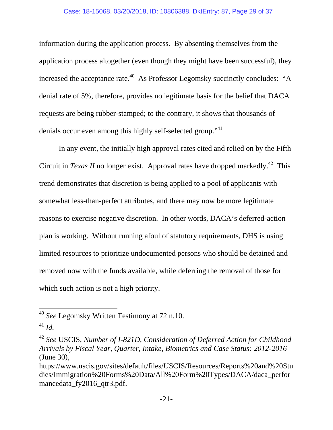information during the application process. By absenting themselves from the application process altogether (even though they might have been successful), they increased the acceptance rate.<sup>40</sup> As Professor Legomsky succinctly concludes: "A denial rate of 5%, therefore, provides no legitimate basis for the belief that DACA requests are being rubber-stamped; to the contrary, it shows that thousands of denials occur even among this highly self-selected group."<sup>41</sup>

In any event, the initially high approval rates cited and relied on by the Fifth Circuit in *Texas II* no longer exist. Approval rates have dropped markedly.<sup>42</sup> This trend demonstrates that discretion is being applied to a pool of applicants with somewhat less-than-perfect attributes, and there may now be more legitimate reasons to exercise negative discretion. In other words, DACA's deferred-action plan is working. Without running afoul of statutory requirements, DHS is using limited resources to prioritize undocumented persons who should be detained and removed now with the funds available, while deferring the removal of those for which such action is not a high priority.

<sup>40</sup> *See* Legomsky Written Testimony at 72 n.10.

<sup>41</sup> *Id.*

<sup>42</sup> *See* USCIS, *Number of I-821D, Consideration of Deferred Action for Childhood Arrivals by Fiscal Year, Quarter, Intake, Biometrics and Case Status: 2012-2016* (June 30),

https://www.uscis.gov/sites/default/files/USCIS/Resources/Reports%20and%20Stu dies/Immigration%20Forms%20Data/All%20Form%20Types/DACA/daca\_perfor mancedata fy2016 qtr3.pdf.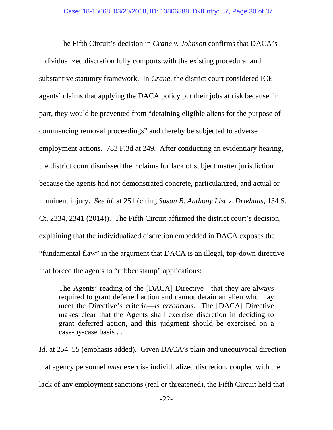The Fifth Circuit's decision in *Crane v. Johnson* confirms that DACA's individualized discretion fully comports with the existing procedural and substantive statutory framework. In *Crane*, the district court considered ICE agents' claims that applying the DACA policy put their jobs at risk because, in part, they would be prevented from "detaining eligible aliens for the purpose of commencing removal proceedings" and thereby be subjected to adverse employment actions. 783 F.3d at 249. After conducting an evidentiary hearing, the district court dismissed their claims for lack of subject matter jurisdiction because the agents had not demonstrated concrete, particularized, and actual or imminent injury. *See id.* at 251 (citing *Susan B. Anthony List v. Driehaus*, 134 S. Ct. 2334, 2341 (2014)). The Fifth Circuit affirmed the district court's decision, explaining that the individualized discretion embedded in DACA exposes the "fundamental flaw" in the argument that DACA is an illegal, top-down directive that forced the agents to "rubber stamp" applications:

The Agents' reading of the [DACA] Directive—that they are always required to grant deferred action and cannot detain an alien who may meet the Directive's criteria—*is erroneous*. The [DACA] Directive makes clear that the Agents shall exercise discretion in deciding to grant deferred action, and this judgment should be exercised on a case-by-case basis . . . .

*Id.* at 254–55 (emphasis added). Given DACA's plain and unequivocal direction that agency personnel *must* exercise individualized discretion, coupled with the lack of any employment sanctions (real or threatened), the Fifth Circuit held that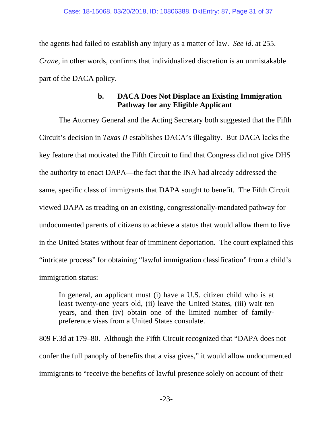the agents had failed to establish any injury as a matter of law. *See id*. at 255. *Crane*, in other words, confirms that individualized discretion is an unmistakable part of the DACA policy.

### **b. DACA Does Not Displace an Existing Immigration Pathway for any Eligible Applicant**

The Attorney General and the Acting Secretary both suggested that the Fifth Circuit's decision in *Texas II* establishes DACA's illegality. But DACA lacks the key feature that motivated the Fifth Circuit to find that Congress did not give DHS the authority to enact DAPA—the fact that the INA had already addressed the same, specific class of immigrants that DAPA sought to benefit. The Fifth Circuit viewed DAPA as treading on an existing, congressionally-mandated pathway for undocumented parents of citizens to achieve a status that would allow them to live in the United States without fear of imminent deportation. The court explained this "intricate process" for obtaining "lawful immigration classification" from a child's immigration status:

In general, an applicant must (i) have a U.S. citizen child who is at least twenty-one years old, (ii) leave the United States, (iii) wait ten years, and then (iv) obtain one of the limited number of familypreference visas from a United States consulate.

809 F.3d at 179–80. Although the Fifth Circuit recognized that "DAPA does not confer the full panoply of benefits that a visa gives," it would allow undocumented immigrants to "receive the benefits of lawful presence solely on account of their

-23-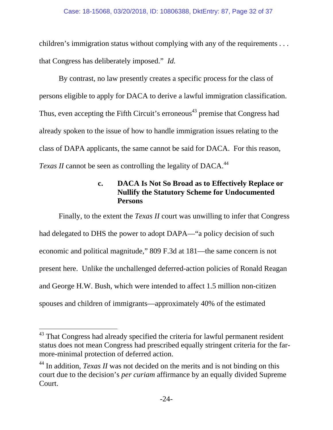children's immigration status without complying with any of the requirements . . . that Congress has deliberately imposed." *Id.*

By contrast, no law presently creates a specific process for the class of persons eligible to apply for DACA to derive a lawful immigration classification. Thus, even accepting the Fifth Circuit's erroneous<sup>43</sup> premise that Congress had already spoken to the issue of how to handle immigration issues relating to the class of DAPA applicants, the same cannot be said for DACA. For this reason, *Texas II* cannot be seen as controlling the legality of DACA.<sup>44</sup>

## **c. DACA Is Not So Broad as to Effectively Replace or Nullify the Statutory Scheme for Undocumented Persons**

Finally, to the extent the *Texas II* court was unwilling to infer that Congress had delegated to DHS the power to adopt DAPA—"a policy decision of such economic and political magnitude," 809 F.3d at 181—the same concern is not present here. Unlike the unchallenged deferred-action policies of Ronald Reagan and George H.W. Bush, which were intended to affect 1.5 million non-citizen spouses and children of immigrants—approximately 40% of the estimated

 <sup>43</sup> That Congress had already specified the criteria for lawful permanent resident status does not mean Congress had prescribed equally stringent criteria for the farmore-minimal protection of deferred action.

<sup>&</sup>lt;sup>44</sup> In addition, *Texas II* was not decided on the merits and is not binding on this court due to the decision's *per curiam* affirmance by an equally divided Supreme Court.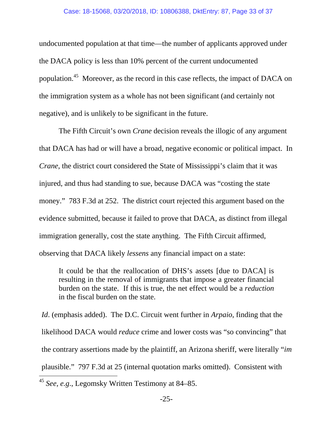undocumented population at that time—the number of applicants approved under the DACA policy is less than 10% percent of the current undocumented population.45 Moreover, as the record in this case reflects, the impact of DACA on the immigration system as a whole has not been significant (and certainly not negative), and is unlikely to be significant in the future.

The Fifth Circuit's own *Crane* decision reveals the illogic of any argument that DACA has had or will have a broad, negative economic or political impact. In *Crane*, the district court considered the State of Mississippi's claim that it was injured, and thus had standing to sue, because DACA was "costing the state money." 783 F.3d at 252. The district court rejected this argument based on the evidence submitted, because it failed to prove that DACA, as distinct from illegal immigration generally, cost the state anything. The Fifth Circuit affirmed, observing that DACA likely *lessens* any financial impact on a state:

It could be that the reallocation of DHS's assets [due to DACA] is resulting in the removal of immigrants that impose a greater financial burden on the state. If this is true, the net effect would be a *reduction* in the fiscal burden on the state.

*Id*. (emphasis added). The D.C. Circuit went further in *Arpaio*, finding that the likelihood DACA would *reduce* crime and lower costs was "so convincing" that the contrary assertions made by the plaintiff, an Arizona sheriff, were literally "*im* plausible." 797 F.3d at 25 (internal quotation marks omitted). Consistent with

<sup>45</sup> *See, e.g*., Legomsky Written Testimony at 84–85.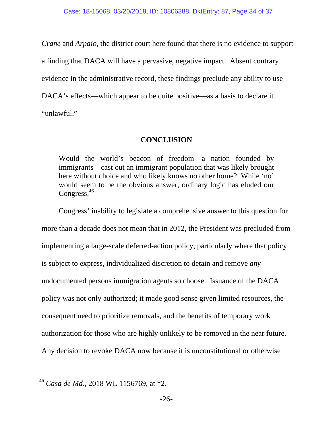*Crane* and *Arpaio*, the district court here found that there is no evidence to support a finding that DACA will have a pervasive, negative impact. Absent contrary evidence in the administrative record, these findings preclude any ability to use DACA's effects—which appear to be quite positive—as a basis to declare it "unlawful."

### **CONCLUSION**

Would the world's beacon of freedom—a nation founded by immigrants—cast out an immigrant population that was likely brought here without choice and who likely knows no other home? While 'no' would seem to be the obvious answer, ordinary logic has eluded our Congress.<sup>46</sup>

 Congress' inability to legislate a comprehensive answer to this question for more than a decade does not mean that in 2012, the President was precluded from implementing a large-scale deferred-action policy, particularly where that policy is subject to express, individualized discretion to detain and remove *any* undocumented persons immigration agents so choose. Issuance of the DACA policy was not only authorized; it made good sense given limited resources, the consequent need to prioritize removals, and the benefits of temporary work authorization for those who are highly unlikely to be removed in the near future. Any decision to revoke DACA now because it is unconstitutional or otherwise

<sup>46</sup> *Casa de Md.*, 2018 WL 1156769, at \*2.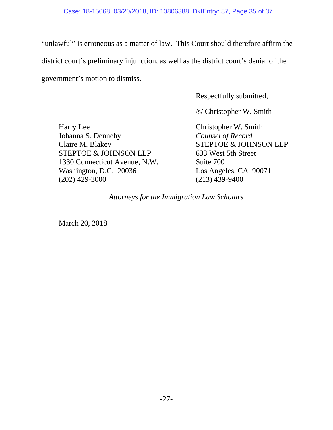"unlawful" is erroneous as a matter of law. This Court should therefore affirm the district court's preliminary injunction, as well as the district court's denial of the government's motion to dismiss.

Respectfully submitted,

/s/ Christopher W. Smith

Harry Lee Christopher W. Smith Johanna S. Dennehy *Counsel of Record*  Claire M. Blakey STEPTOE & JOHNSON LLP STEPTOE & JOHNSON LLP 633 West 5th Street 1330 Connecticut Avenue, N.W. Suite 700 Washington, D.C. 20036 Los Angeles, CA 90071 (202) 429-3000 (213) 439-9400

*Attorneys for the Immigration Law Scholars* 

March 20, 2018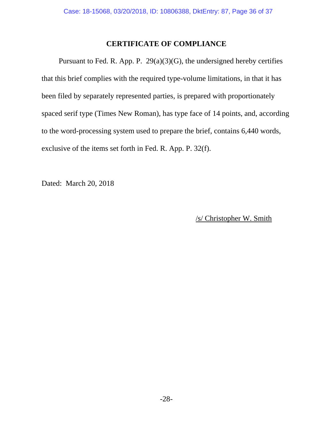### **CERTIFICATE OF COMPLIANCE**

Pursuant to Fed. R. App. P.  $29(a)(3)(G)$ , the undersigned hereby certifies that this brief complies with the required type-volume limitations, in that it has been filed by separately represented parties, is prepared with proportionately spaced serif type (Times New Roman), has type face of 14 points, and, according to the word-processing system used to prepare the brief, contains 6,440 words, exclusive of the items set forth in Fed. R. App. P. 32(f).

Dated: March 20, 2018

/s/ Christopher W. Smith